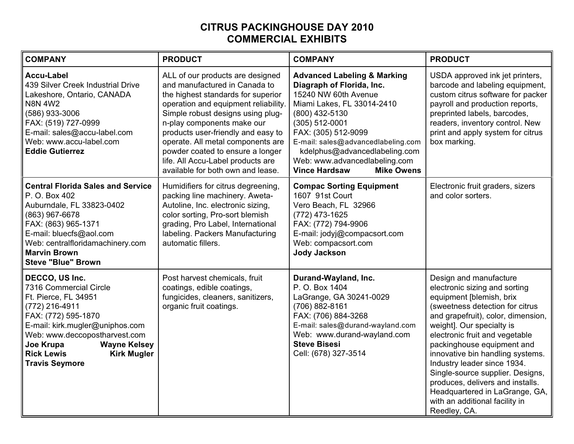## **CITRUS PACKINGHOUSE DAY 2010 COMMERCIAL EXHIBITS**

| <b>COMPANY</b>                                                                                                                                                                                                                                                                        | <b>PRODUCT</b>                                                                                                                                                                                                                                                                                                                                                                                              | <b>COMPANY</b>                                                                                                                                                                                                                                                                                                                                | <b>PRODUCT</b>                                                                                                                                                                                                                                                                                                                                                                                                                                                                           |
|---------------------------------------------------------------------------------------------------------------------------------------------------------------------------------------------------------------------------------------------------------------------------------------|-------------------------------------------------------------------------------------------------------------------------------------------------------------------------------------------------------------------------------------------------------------------------------------------------------------------------------------------------------------------------------------------------------------|-----------------------------------------------------------------------------------------------------------------------------------------------------------------------------------------------------------------------------------------------------------------------------------------------------------------------------------------------|------------------------------------------------------------------------------------------------------------------------------------------------------------------------------------------------------------------------------------------------------------------------------------------------------------------------------------------------------------------------------------------------------------------------------------------------------------------------------------------|
| <b>Accu-Label</b><br>439 Silver Creek Industrial Drive<br>Lakeshore, Ontario, CANADA<br><b>N8N 4W2</b><br>(586) 933-3006<br>FAX: (519) 727-0999<br>E-mail: sales@accu-label.com<br>Web: www.accu-label.com<br><b>Eddie Gutierrez</b>                                                  | ALL of our products are designed<br>and manufactured in Canada to<br>the highest standards for superior<br>operation and equipment reliability.<br>Simple robust designs using plug-<br>n-play components make our<br>products user-friendly and easy to<br>operate. All metal components are<br>powder coated to ensure a longer<br>life. All Accu-Label products are<br>available for both own and lease. | <b>Advanced Labeling &amp; Marking</b><br>Diagraph of Florida, Inc.<br>15240 NW 60th Avenue<br>Miami Lakes, FL 33014-2410<br>(800) 432-5130<br>$(305) 512 - 0001$<br>FAX: (305) 512-9099<br>E-mail: sales@advancedlabeling.com<br>kdelphus@advancedlabeling.com<br>Web: www.advancedlabeling.com<br><b>Vince Hardsaw</b><br><b>Mike Owens</b> | USDA approved ink jet printers,<br>barcode and labeling equipment,<br>custom citrus software for packer<br>payroll and production reports,<br>preprinted labels, barcodes,<br>readers, inventory control. New<br>print and apply system for citrus<br>box marking.                                                                                                                                                                                                                       |
| <b>Central Florida Sales and Service</b><br>P. O. Box 402<br>Auburndale, FL 33823-0402<br>(863) 967-6678<br>FAX: (863) 965-1371<br>E-mail: bluecfs@aol.com<br>Web: centralfloridamachinery.com<br><b>Marvin Brown</b><br><b>Steve "Blue" Brown</b>                                    | Humidifiers for citrus degreening,<br>packing line machinery. Aweta-<br>Autoline, Inc. electronic sizing,<br>color sorting, Pro-sort blemish<br>grading, Pro Label, International<br>labeling. Packers Manufacturing<br>automatic fillers.                                                                                                                                                                  | <b>Compac Sorting Equipment</b><br>1607 91st Court<br>Vero Beach, FL 32966<br>(772) 473-1625<br>FAX: (772) 794-9906<br>E-mail: jodyj@compacsort.com<br>Web: compacsort.com<br><b>Jody Jackson</b>                                                                                                                                             | Electronic fruit graders, sizers<br>and color sorters.                                                                                                                                                                                                                                                                                                                                                                                                                                   |
| DECCO, US Inc.<br>7316 Commercial Circle<br>Ft. Pierce, FL 34951<br>(772) 216-4911<br>FAX: (772) 595-1870<br>E-mail: kirk.mugler@uniphos.com<br>Web: www.deccopostharvest.com<br>Joe Krupa<br><b>Wayne Kelsey</b><br><b>Rick Lewis</b><br><b>Kirk Mugler</b><br><b>Travis Seymore</b> | Post harvest chemicals, fruit<br>coatings, edible coatings,<br>fungicides, cleaners, sanitizers,<br>organic fruit coatings.                                                                                                                                                                                                                                                                                 | Durand-Wayland, Inc.<br>P. O. Box 1404<br>LaGrange, GA 30241-0029<br>(706) 882-8161<br>FAX: (706) 884-3268<br>E-mail: sales@durand-wayland.com<br>Web: www.durand-wayland.com<br><b>Steve Bisesi</b><br>Cell: (678) 327-3514                                                                                                                  | Design and manufacture<br>electronic sizing and sorting<br>equipment [blemish, brix<br>(sweetness detection for citrus<br>and grapefruit), color, dimension,<br>weight]. Our specialty is<br>electronic fruit and vegetable<br>packinghouse equipment and<br>innovative bin handling systems.<br>Industry leader since 1934.<br>Single-source supplier. Designs,<br>produces, delivers and installs.<br>Headquartered in LaGrange, GA,<br>with an additional facility in<br>Reedley, CA. |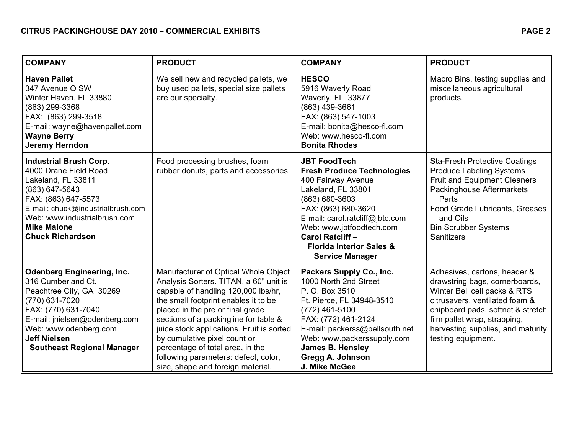| <b>COMPANY</b>                                                                                                                                                                                                                                     | <b>PRODUCT</b>                                                                                                                                                                                                                                                                                                                                                                                                                           | <b>COMPANY</b>                                                                                                                                                                                                                                                                                    | <b>PRODUCT</b>                                                                                                                                                                                                                                                   |
|----------------------------------------------------------------------------------------------------------------------------------------------------------------------------------------------------------------------------------------------------|------------------------------------------------------------------------------------------------------------------------------------------------------------------------------------------------------------------------------------------------------------------------------------------------------------------------------------------------------------------------------------------------------------------------------------------|---------------------------------------------------------------------------------------------------------------------------------------------------------------------------------------------------------------------------------------------------------------------------------------------------|------------------------------------------------------------------------------------------------------------------------------------------------------------------------------------------------------------------------------------------------------------------|
| <b>Haven Pallet</b><br>347 Avenue O SW<br>Winter Haven, FL 33880<br>(863) 299-3368<br>FAX: (863) 299-3518<br>E-mail: wayne@havenpallet.com<br><b>Wayne Berry</b><br><b>Jeremy Herndon</b>                                                          | We sell new and recycled pallets, we<br>buy used pallets, special size pallets<br>are our specialty.                                                                                                                                                                                                                                                                                                                                     | <b>HESCO</b><br>5916 Waverly Road<br>Waverly, FL 33877<br>(863) 439-3661<br>FAX: (863) 547-1003<br>E-mail: bonita@hesco-fl.com<br>Web: www.hesco-fl.com<br><b>Bonita Rhodes</b>                                                                                                                   | Macro Bins, testing supplies and<br>miscellaneous agricultural<br>products.                                                                                                                                                                                      |
| <b>Industrial Brush Corp.</b><br>4000 Drane Field Road<br>Lakeland, FL 33811<br>(863) 647-5643<br>FAX: (863) 647-5573<br>E-mail: chuck@industrialbrush.com<br>Web: www.industrialbrush.com<br><b>Mike Malone</b><br><b>Chuck Richardson</b>        | Food processing brushes, foam<br>rubber donuts, parts and accessories.                                                                                                                                                                                                                                                                                                                                                                   | <b>JBT FoodTech</b><br><b>Fresh Produce Technologies</b><br>400 Fairway Avenue<br>Lakeland, FL 33801<br>(863) 680-3603<br>FAX: (863) 680-3620<br>E-mail: carol.ratcliff@jbtc.com<br>Web: www.jbtfoodtech.com<br>Carol Ratcliff -<br><b>Florida Interior Sales &amp;</b><br><b>Service Manager</b> | <b>Sta-Fresh Protective Coatings</b><br><b>Produce Labeling Systems</b><br><b>Fruit and Equipment Cleaners</b><br>Packinghouse Aftermarkets<br>Parts<br>Food Grade Lubricants, Greases<br>and Oils<br><b>Bin Scrubber Systems</b><br>Sanitizers                  |
| <b>Odenberg Engineering, Inc.</b><br>316 Cumberland Ct.<br>Peachtree City, GA 30269<br>(770) 631-7020<br>FAX: (770) 631-7040<br>E-mail: jnielsen@odenberg.com<br>Web: www.odenberg.com<br><b>Jeff Nielsen</b><br><b>Southeast Regional Manager</b> | Manufacturer of Optical Whole Object<br>Analysis Sorters. TITAN, a 60" unit is<br>capable of handling 120,000 lbs/hr,<br>the small footprint enables it to be<br>placed in the pre or final grade<br>sections of a packingline for table &<br>juice stock applications. Fruit is sorted<br>by cumulative pixel count or<br>percentage of total area, in the<br>following parameters: defect, color,<br>size, shape and foreign material. | Packers Supply Co., Inc.<br>1000 North 2nd Street<br>P. O. Box 3510<br>Ft. Pierce, FL 34948-3510<br>(772) 461-5100<br>FAX: (772) 461-2124<br>E-mail: packerss@bellsouth.net<br>Web: www.packerssupply.com<br><b>James B. Hensley</b><br>Gregg A. Johnson<br>J. Mike McGee                         | Adhesives, cartons, header &<br>drawstring bags, cornerboards,<br>Winter Bell cell packs & RTS<br>citrusavers, ventilated foam &<br>chipboard pads, softnet & stretch<br>film pallet wrap, strapping,<br>harvesting supplies, and maturity<br>testing equipment. |